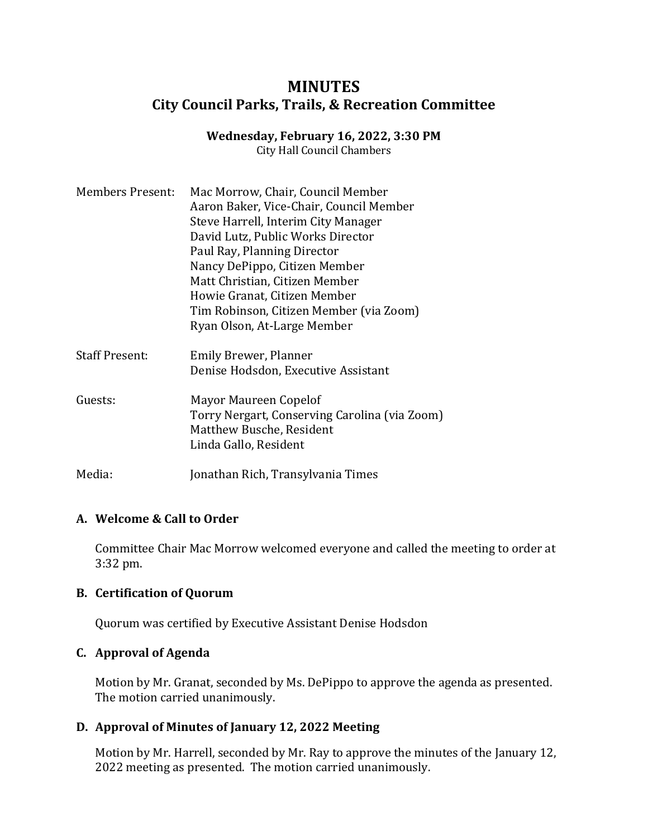## **MINUTES City Council Parks, Trails, & Recreation Committee**

# **Wednesday, February 16, 2022, 3:30 PM**

City Hall Council Chambers

| <b>Members Present:</b> | Mac Morrow, Chair, Council Member<br>Aaron Baker, Vice-Chair, Council Member<br>Steve Harrell, Interim City Manager<br>David Lutz, Public Works Director<br>Paul Ray, Planning Director<br>Nancy DePippo, Citizen Member<br>Matt Christian, Citizen Member<br>Howie Granat, Citizen Member<br>Tim Robinson, Citizen Member (via Zoom) |
|-------------------------|---------------------------------------------------------------------------------------------------------------------------------------------------------------------------------------------------------------------------------------------------------------------------------------------------------------------------------------|
| <b>Staff Present:</b>   | Ryan Olson, At-Large Member<br>Emily Brewer, Planner<br>Denise Hodsdon, Executive Assistant                                                                                                                                                                                                                                           |
| Guests:                 | Mayor Maureen Copelof<br>Torry Nergart, Conserving Carolina (via Zoom)<br>Matthew Busche, Resident<br>Linda Gallo, Resident                                                                                                                                                                                                           |
| Media:                  | Jonathan Rich, Transylvania Times                                                                                                                                                                                                                                                                                                     |

## **A. Welcome & Call to Order**

Committee Chair Mac Morrow welcomed everyone and called the meeting to order at 3:32 pm.

#### **B. Certification of Quorum**

Quorum was certified by Executive Assistant Denise Hodsdon

## **C. Approval of Agenda**

Motion by Mr. Granat, seconded by Ms. DePippo to approve the agenda as presented. The motion carried unanimously.

## **D. Approval of Minutes of January 12, 2022 Meeting**

Motion by Mr. Harrell, seconded by Mr. Ray to approve the minutes of the January 12, 2022 meeting as presented. The motion carried unanimously.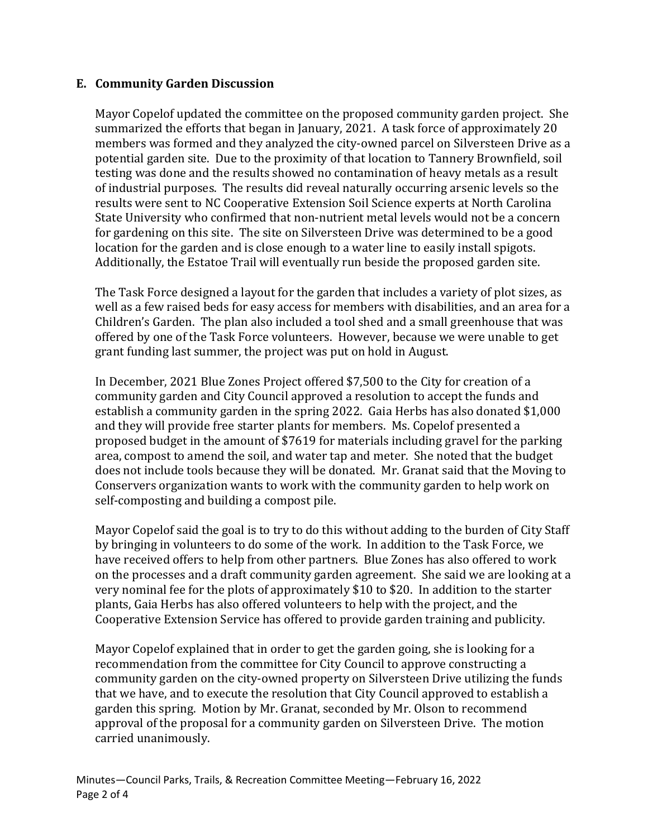#### **E. Community Garden Discussion**

Mayor Copelof updated the committee on the proposed community garden project. She summarized the efforts that began in January, 2021. A task force of approximately 20 members was formed and they analyzed the city-owned parcel on Silversteen Drive as a potential garden site. Due to the proximity of that location to Tannery Brownfield, soil testing was done and the results showed no contamination of heavy metals as a result of industrial purposes. The results did reveal naturally occurring arsenic levels so the results were sent to NC Cooperative Extension Soil Science experts at North Carolina State University who confirmed that non-nutrient metal levels would not be a concern for gardening on this site. The site on Silversteen Drive was determined to be a good location for the garden and is close enough to a water line to easily install spigots. Additionally, the Estatoe Trail will eventually run beside the proposed garden site.

The Task Force designed a layout for the garden that includes a variety of plot sizes, as well as a few raised beds for easy access for members with disabilities, and an area for a Children's Garden. The plan also included a tool shed and a small greenhouse that was offered by one of the Task Force volunteers. However, because we were unable to get grant funding last summer, the project was put on hold in August.

In December, 2021 Blue Zones Project offered \$7,500 to the City for creation of a community garden and City Council approved a resolution to accept the funds and establish a community garden in the spring 2022. Gaia Herbs has also donated \$1,000 and they will provide free starter plants for members. Ms. Copelof presented a proposed budget in the amount of \$7619 for materials including gravel for the parking area, compost to amend the soil, and water tap and meter. She noted that the budget does not include tools because they will be donated. Mr. Granat said that the Moving to Conservers organization wants to work with the community garden to help work on self-composting and building a compost pile.

Mayor Copelof said the goal is to try to do this without adding to the burden of City Staff by bringing in volunteers to do some of the work. In addition to the Task Force, we have received offers to help from other partners. Blue Zones has also offered to work on the processes and a draft community garden agreement. She said we are looking at a very nominal fee for the plots of approximately \$10 to \$20. In addition to the starter plants, Gaia Herbs has also offered volunteers to help with the project, and the Cooperative Extension Service has offered to provide garden training and publicity.

Mayor Copelof explained that in order to get the garden going, she is looking for a recommendation from the committee for City Council to approve constructing a community garden on the city-owned property on Silversteen Drive utilizing the funds that we have, and to execute the resolution that City Council approved to establish a garden this spring. Motion by Mr. Granat, seconded by Mr. Olson to recommend approval of the proposal for a community garden on Silversteen Drive. The motion carried unanimously.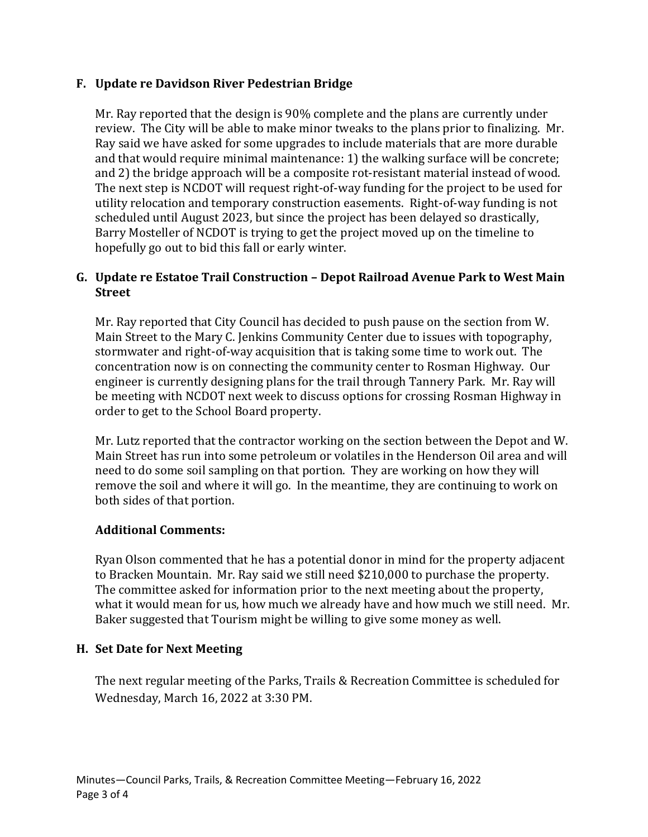### **F. Update re Davidson River Pedestrian Bridge**

Mr. Ray reported that the design is 90% complete and the plans are currently under review. The City will be able to make minor tweaks to the plans prior to finalizing. Mr. Ray said we have asked for some upgrades to include materials that are more durable and that would require minimal maintenance: 1) the walking surface will be concrete; and 2) the bridge approach will be a composite rot-resistant material instead of wood. The next step is NCDOT will request right-of-way funding for the project to be used for utility relocation and temporary construction easements. Right-of-way funding is not scheduled until August 2023, but since the project has been delayed so drastically, Barry Mosteller of NCDOT is trying to get the project moved up on the timeline to hopefully go out to bid this fall or early winter.

#### **G. Update re Estatoe Trail Construction – Depot Railroad Avenue Park to West Main Street**

Mr. Ray reported that City Council has decided to push pause on the section from W. Main Street to the Mary C. Jenkins Community Center due to issues with topography, stormwater and right-of-way acquisition that is taking some time to work out. The concentration now is on connecting the community center to Rosman Highway. Our engineer is currently designing plans for the trail through Tannery Park. Mr. Ray will be meeting with NCDOT next week to discuss options for crossing Rosman Highway in order to get to the School Board property.

Mr. Lutz reported that the contractor working on the section between the Depot and W. Main Street has run into some petroleum or volatiles in the Henderson Oil area and will need to do some soil sampling on that portion. They are working on how they will remove the soil and where it will go. In the meantime, they are continuing to work on both sides of that portion.

#### **Additional Comments:**

Ryan Olson commented that he has a potential donor in mind for the property adjacent to Bracken Mountain. Mr. Ray said we still need \$210,000 to purchase the property. The committee asked for information prior to the next meeting about the property, what it would mean for us, how much we already have and how much we still need. Mr. Baker suggested that Tourism might be willing to give some money as well.

#### **H. Set Date for Next Meeting**

The next regular meeting of the Parks, Trails & Recreation Committee is scheduled for Wednesday, March 16, 2022 at 3:30 PM.